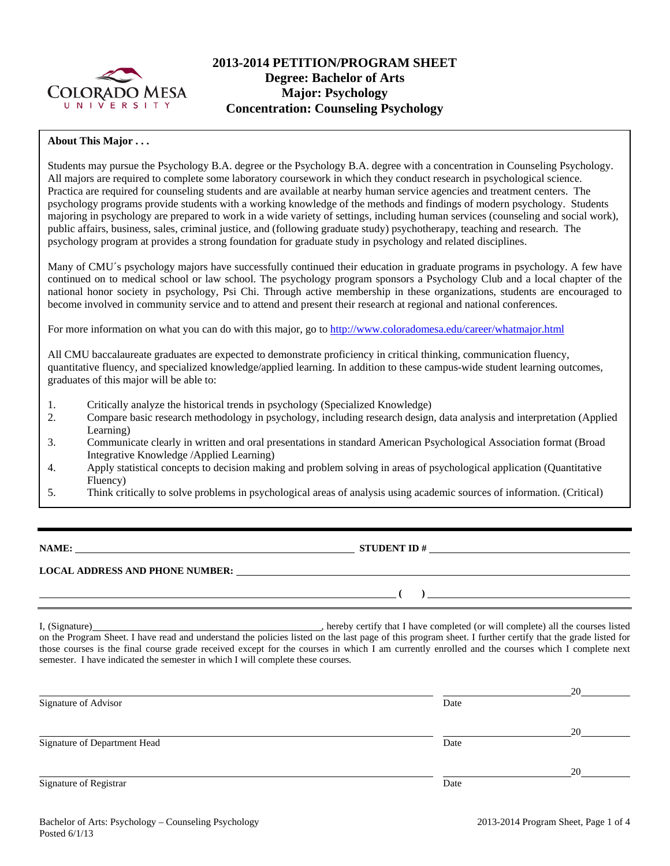

# **2013-2014 PETITION/PROGRAM SHEET Degree: Bachelor of Arts Major: Psychology Concentration: Counseling Psychology**

## **About This Major . . .**

Students may pursue the Psychology B.A. degree or the Psychology B.A. degree with a concentration in Counseling Psychology. All majors are required to complete some laboratory coursework in which they conduct research in psychological science. Practica are required for counseling students and are available at nearby human service agencies and treatment centers. The psychology programs provide students with a working knowledge of the methods and findings of modern psychology. Students majoring in psychology are prepared to work in a wide variety of settings, including human services (counseling and social work), public affairs, business, sales, criminal justice, and (following graduate study) psychotherapy, teaching and research. The psychology program at provides a strong foundation for graduate study in psychology and related disciplines.

Many of CMU´s psychology majors have successfully continued their education in graduate programs in psychology. A few have continued on to medical school or law school. The psychology program sponsors a Psychology Club and a local chapter of the national honor society in psychology, Psi Chi. Through active membership in these organizations, students are encouraged to become involved in community service and to attend and present their research at regional and national conferences.

For more information on what you can do with this major, go to http://www.coloradomesa.edu/career/whatmajor.html

All CMU baccalaureate graduates are expected to demonstrate proficiency in critical thinking, communication fluency, quantitative fluency, and specialized knowledge/applied learning. In addition to these campus-wide student learning outcomes, graduates of this major will be able to:

- 1. Critically analyze the historical trends in psychology (Specialized Knowledge)
- 2. Compare basic research methodology in psychology, including research design, data analysis and interpretation (Applied Learning)
- 3. Communicate clearly in written and oral presentations in standard American Psychological Association format (Broad Integrative Knowledge /Applied Learning)
- 4. Apply statistical concepts to decision making and problem solving in areas of psychological application (Quantitative Fluency)
- 5. Think critically to solve problems in psychological areas of analysis using academic sources of information. (Critical)
- 

**NAME: STUDENT ID #** 

 **( )** 

# **LOCAL ADDRESS AND PHONE NUMBER:**

I, (Signature) , hereby certify that I have completed (or will complete) all the courses listed on the Program Sheet. I have read and understand the policies listed on the last page of this program sheet. I further certify that the grade listed for those courses is the final course grade received except for the courses in which I am currently enrolled and the courses which I complete next semester. I have indicated the semester in which I will complete these courses.

|                              |      | 20 |
|------------------------------|------|----|
| Signature of Advisor         | Date |    |
|                              |      | 20 |
| Signature of Department Head | Date |    |
|                              |      | 20 |
| Signature of Registrar       | Date |    |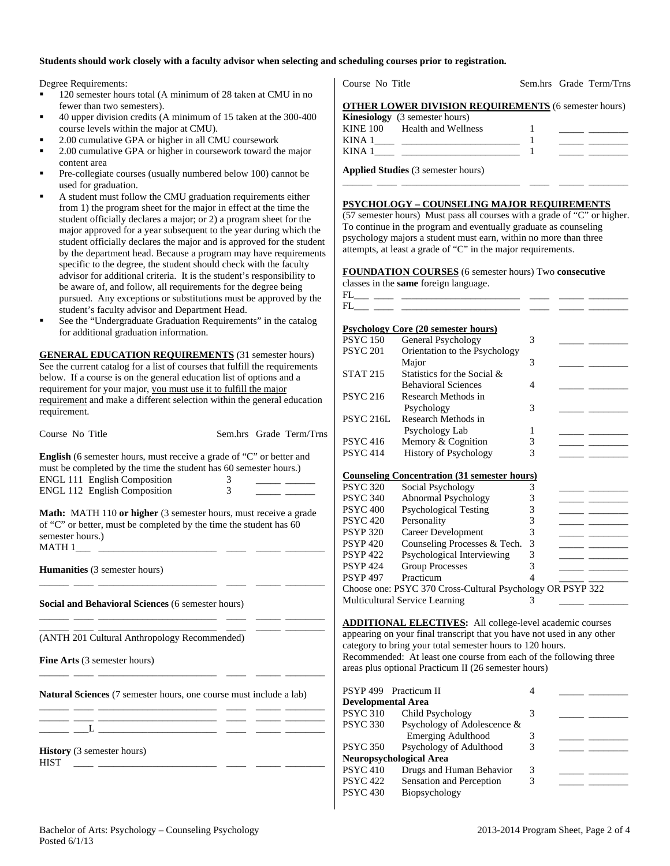#### **Students should work closely with a faculty advisor when selecting and scheduling courses prior to registration.**

Degree Requirements:

- <sup>120</sup> semester hours total (A minimum of 28 taken at CMU in no fewer than two semesters).
- 40 upper division credits (A minimum of 15 taken at the 300-400 course levels within the major at CMU).
- 2.00 cumulative GPA or higher in all CMU coursework
- 2.00 cumulative GPA or higher in coursework toward the major content area
- Pre-collegiate courses (usually numbered below 100) cannot be used for graduation.
- A student must follow the CMU graduation requirements either from 1) the program sheet for the major in effect at the time the student officially declares a major; or 2) a program sheet for the major approved for a year subsequent to the year during which the student officially declares the major and is approved for the student by the department head. Because a program may have requirements specific to the degree, the student should check with the faculty advisor for additional criteria. It is the student's responsibility to be aware of, and follow, all requirements for the degree being pursued. Any exceptions or substitutions must be approved by the student's faculty advisor and Department Head.
- See the "Undergraduate Graduation Requirements" in the catalog for additional graduation information.

**GENERAL EDUCATION REQUIREMENTS** (31 semester hours) See the current catalog for a list of courses that fulfill the requirements below. If a course is on the general education list of options and a requirement for your major, you must use it to fulfill the major requirement and make a different selection within the general education requirement.

Course No Title Sem.hrs Grade Term/Trns

**English** (6 semester hours, must receive a grade of "C" or better and must be completed by the time the student has 60 semester hours.) ENGL 111 English Composition  $\frac{3}{2}$  \_\_\_\_\_ \_\_\_\_\_ ENGL 112 English Composition 3 \_\_\_\_\_ \_\_\_\_\_\_

**Math:** MATH 110 or higher (3 semester hours, must receive a grade of "C" or better, must be completed by the time the student has 60 semester hours.)  $MATH 1$ <sub>\_\_\_\_</sub> \_\_

\_\_\_\_\_\_ \_\_\_\_ \_\_\_\_\_\_\_\_\_\_\_\_\_\_\_\_\_\_\_\_\_\_\_\_ \_\_\_\_ \_\_\_\_\_ \_\_\_\_\_\_\_\_

\_\_\_\_\_\_ \_\_\_\_ \_\_\_\_\_\_\_\_\_\_\_\_\_\_\_\_\_\_\_\_\_\_\_\_ \_\_\_\_ \_\_\_\_\_ \_\_\_\_\_\_\_\_

\_\_\_\_\_\_ \_\_\_\_ \_\_\_\_\_\_\_\_\_\_\_\_\_\_\_\_\_\_\_\_\_\_\_\_ \_\_\_\_ \_\_\_\_\_ \_\_\_\_\_\_\_\_

\_\_\_\_\_\_ \_\_\_\_ \_\_\_\_\_\_\_\_\_\_\_\_\_\_\_\_\_\_\_\_\_\_\_\_ \_\_\_\_ \_\_\_\_\_ \_\_\_\_\_\_\_\_

**Humanities** (3 semester hours)

**Social and Behavioral Sciences** (6 semester hours)

\_\_\_\_\_\_ \_\_\_\_ \_\_\_\_\_\_\_\_\_\_\_\_\_\_\_\_\_\_\_\_\_\_\_\_ \_\_\_\_ \_\_\_\_\_ \_\_\_\_\_\_\_\_ (ANTH 201 Cultural Anthropology Recommended)

**Fine Arts** (3 semester hours)

**Natural Sciences** (7 semester hours, one course must include a lab)

\_\_\_\_\_\_ \_\_\_\_ \_\_\_\_\_\_\_\_\_\_\_\_\_\_\_\_\_\_\_\_\_\_\_\_ \_\_\_\_ \_\_\_\_\_ \_\_\_\_\_\_\_\_  $_{-}$   $_{-}$   $_{-}$   $_{-}$   $_{-}$   $_{-}$   $_{-}$   $_{-}$   $_{-}$   $_{-}$   $_{-}$   $_{-}$   $_{-}$   $_{-}$   $_{-}$   $_{-}$   $_{-}$   $_{-}$   $_{-}$   $_{-}$   $_{-}$   $_{-}$   $_{-}$   $_{-}$   $_{-}$   $_{-}$   $_{-}$   $_{-}$   $_{-}$   $_{-}$   $_{-}$   $_{-}$   $_{-}$   $_{-}$   $_{-}$   $_{-}$   $_{-}$ 

**History** (3 semester hours)  $HIST \longrightarrow$ 

Course No Title Sem.hrs Grade Term/Trns

|  |  |  | <b>OTHER LOWER DIVISION REQUIREMENTS (6 semester hours)</b> |
|--|--|--|-------------------------------------------------------------|
|  |  |  |                                                             |

|      | <b>Kinesiology</b> (3 semester hours) |  |
|------|---------------------------------------|--|
|      | KINE 100 Health and Wellness          |  |
| KINA |                                       |  |
| KINA |                                       |  |

\_\_\_\_\_\_ \_\_\_\_ \_\_\_\_\_\_\_\_\_\_\_\_\_\_\_\_\_\_\_\_\_\_\_\_ \_\_\_\_ \_\_\_\_\_ \_\_\_\_\_\_\_\_

**Applied Studies** (3 semester hours)

#### **PSYCHOLOGY – COUNSELING MAJOR REQUIREMENTS**

(57 semester hours) Must pass all courses with a grade of "C" or higher. To continue in the program and eventually graduate as counseling psychology majors a student must earn, within no more than three attempts, at least a grade of "C" in the major requirements.

# **FOUNDATION COURSES** (6 semester hours) Two **consecutive**

classes in the **same** foreign language. FL\_\_\_ \_\_\_\_ \_\_\_\_\_\_\_\_\_\_\_\_\_\_\_\_\_\_\_\_\_\_\_\_ \_\_\_\_ \_\_\_\_\_ \_\_\_\_\_\_\_\_ FL\_\_\_ \_\_\_\_ \_\_\_\_\_\_\_\_\_\_\_\_\_\_\_\_\_\_\_\_\_\_\_\_ \_\_\_\_ \_\_\_\_\_ \_\_\_\_\_\_\_\_ **Psychology Core (20 semester hours)**  PSYC 150 General Psychology 3 PSYC 201 Orientation to the Psychology Major 3 \_\_\_\_\_ \_\_\_\_\_\_\_\_ STAT 215 Statistics for the Social  $\&$  Behavioral Sciences 4 \_\_\_\_\_ \_\_\_\_\_\_\_\_ Research Methods in Psychology 3 PSYC 216L Research Methods in Psychology Lab 1 PSYC 416 Memory & Cognition 3 PSYC 414 History of Psychology 3 **Counseling Concentration (31 semester hours)**  PSYC 320 Social Psychology 3 PSYC 340 Abnormal Psychology 3 PSYC 400 Psychological Testing 3 PSYC 420 Personality 3 PSYP 320 Career Development 3 PSYP 420 Counseling Processes & Tech. 3 PSYP 422 Psychological Interviewing 3<br>PSYP 424 Group Processes 3 Group Processes 3 PSYP 497 Practicum 4 Choose one: PSYC 370 Cross-Cultural Psychology OR PSYP 322 Multicultural Service Learning 3

**ADDITIONAL ELECTIVES:** All college-level academic courses appearing on your final transcript that you have not used in any other category to bring your total semester hours to 120 hours. Recommended: At least one course from each of the following three areas plus optional Practicum II (26 semester hours)

|                           | PSYP 499 Practicum II          |   |  |
|---------------------------|--------------------------------|---|--|
| <b>Developmental Area</b> |                                |   |  |
| <b>PSYC 310</b>           | Child Psychology               |   |  |
| <b>PSYC 330</b>           | Psychology of Adolescence &    |   |  |
|                           | <b>Emerging Adulthood</b>      |   |  |
| <b>PSYC 350</b>           | Psychology of Adulthood        | 3 |  |
|                           | <b>Neuropsychological Area</b> |   |  |
| <b>PSYC 410</b>           | Drugs and Human Behavior       | 3 |  |
| <b>PSYC 422</b>           | Sensation and Perception       | 3 |  |
| <b>PSYC 430</b>           | Biopsychology                  |   |  |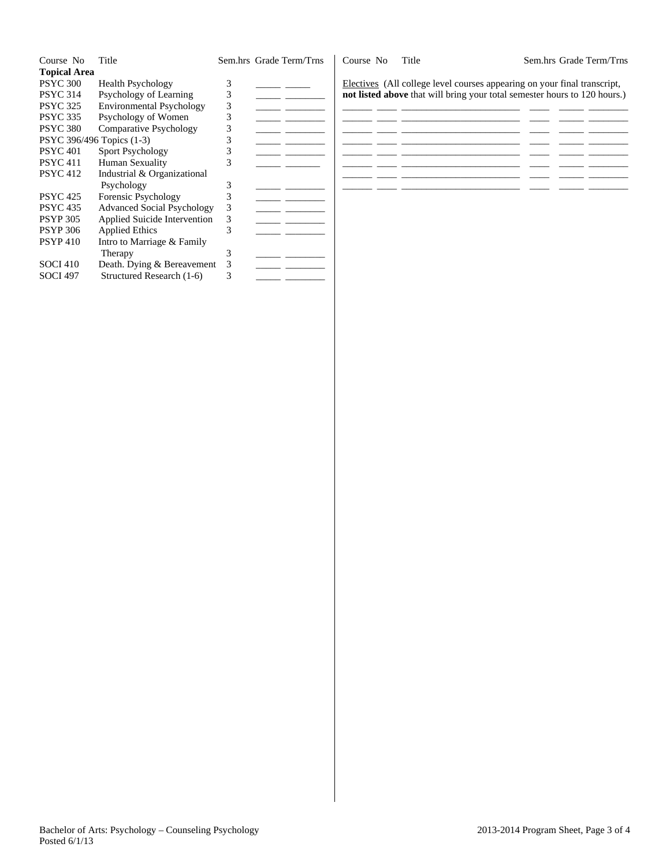| Course No                 | Title                             |   | Sem.hrs Grade Term/Trns | Course No | Title                                                                     | Sem.hrs Grade Term/Trns |
|---------------------------|-----------------------------------|---|-------------------------|-----------|---------------------------------------------------------------------------|-------------------------|
| <b>Topical Area</b>       |                                   |   |                         |           |                                                                           |                         |
| <b>PSYC 300</b>           | <b>Health Psychology</b>          |   |                         |           | Electives (All college level courses appearing on your final transcript,  |                         |
| <b>PSYC 314</b>           | Psychology of Learning            |   |                         |           | not listed above that will bring your total semester hours to 120 hours.) |                         |
| <b>PSYC 325</b>           | <b>Environmental Psychology</b>   |   |                         |           |                                                                           |                         |
| <b>PSYC 335</b>           | Psychology of Women               |   |                         |           |                                                                           |                         |
| <b>PSYC 380</b>           | <b>Comparative Psychology</b>     |   |                         |           |                                                                           |                         |
| PSYC 396/496 Topics (1-3) |                                   |   |                         |           |                                                                           |                         |
| <b>PSYC 401</b>           | Sport Psychology                  |   |                         |           |                                                                           |                         |
| <b>PSYC 411</b>           | Human Sexuality                   |   |                         |           |                                                                           |                         |
| <b>PSYC 412</b>           | Industrial & Organizational       |   |                         |           |                                                                           |                         |
|                           | Psychology                        |   |                         |           |                                                                           |                         |
| <b>PSYC 425</b>           | Forensic Psychology               |   |                         |           |                                                                           |                         |
| <b>PSYC 435</b>           | <b>Advanced Social Psychology</b> |   |                         |           |                                                                           |                         |
| <b>PSYP 305</b>           | Applied Suicide Intervention      | 3 |                         |           |                                                                           |                         |
| <b>PSYP 306</b>           | Applied Ethics                    |   |                         |           |                                                                           |                         |
| <b>PSYP410</b>            | Intro to Marriage & Family        |   |                         |           |                                                                           |                         |
|                           | Therapy                           |   |                         |           |                                                                           |                         |
| <b>SOCI 410</b>           | Death. Dying & Bereavement        |   |                         |           |                                                                           |                         |
| <b>SOCI 497</b>           | Structured Research (1-6)         |   |                         |           |                                                                           |                         |